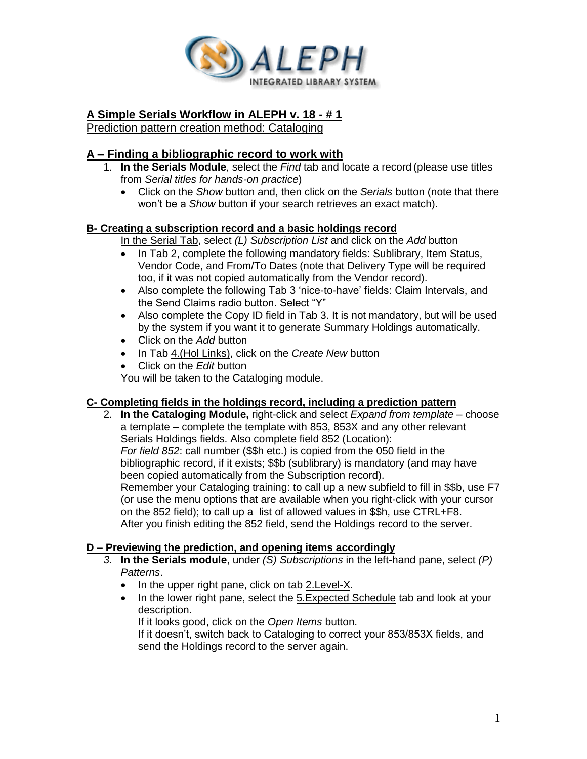

# **A Simple Serials Workflow in ALEPH v. 18 - # 1**

Prediction pattern creation method: Cataloging

## **A – Finding a bibliographic record to work with**

- 1. **In the Serials Module**, select the *Find* tab and locate a record (please use titles from *Serial titles for hands-on practice*)
	- Click on the *Show* button and, then click on the *Serials* button (note that there won't be a *Show* button if your search retrieves an exact match).

### **B- Creating a subscription record and a basic holdings record**

In the Serial Tab, select *(L) Subscription List* and click on the *Add* button

- In Tab 2, complete the following mandatory fields: Sublibrary, Item Status, Vendor Code, and From/To Dates (note that Delivery Type will be required too, if it was not copied automatically from the Vendor record).
- Also complete the following Tab 3 'nice-to-have' fields: Claim Intervals, and the Send Claims radio button. Select "Y"
- Also complete the Copy ID field in Tab 3. It is not mandatory, but will be used by the system if you want it to generate Summary Holdings automatically.
- Click on the *Add* button
- In Tab 4.(Hol Links), click on the *Create New* button
- Click on the *Edit* button

You will be taken to the Cataloging module.

#### **C- Completing fields in the holdings record, including a prediction pattern**

2. **In the Cataloging Module,** right-click and select *Expand from template* – choose a template – complete the template with 853, 853X and any other relevant Serials Holdings fields. Also complete field 852 (Location): *For field 852*: call number (\$\$h etc.) is copied from the 050 field in the bibliographic record, if it exists; \$\$b (sublibrary) is mandatory (and may have been copied automatically from the Subscription record). Remember your Cataloging training: to call up a new subfield to fill in \$\$b, use F7 (or use the menu options that are available when you right-click with your cursor on the 852 field); to call up a list of allowed values in \$\$h, use CTRL+F8. After you finish editing the 852 field, send the Holdings record to the server.

### **D – Previewing the prediction, and opening items accordingly**

- *3.* **In the Serials module**, under *(S) Subscriptions* in the left-hand pane, select *(P) Patterns*.
	- In the upper right pane, click on tab 2.Level-X.
	- In the lower right pane, select the 5.Expected Schedule tab and look at your description.

If it looks good, click on the *Open Items* button.

If it doesn't, switch back to Cataloging to correct your 853/853X fields, and send the Holdings record to the server again.